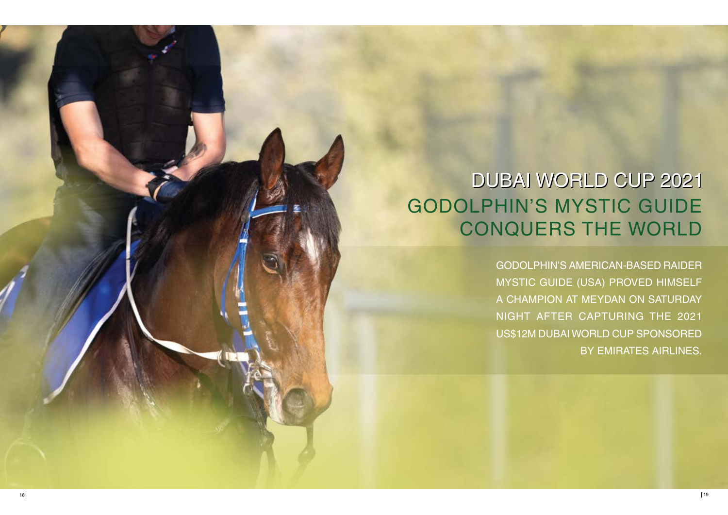# GODOLPHIN'S MYSTIC GUIDE CONQUERS THE WORLD DUBAI WORLD CUP 2021

GODOLPHIN'S AMERICAN-BASED RAIDER MYSTIC GUIDE (USA) PROVED HIMSELF A CHAMPION AT MEYDAN ON SATURDAY NIGHT AFTER CAPTURING THE 2021 US\$12M DUBAI WORLD CUP SPONSORED BY EMIRATES AIRLINES.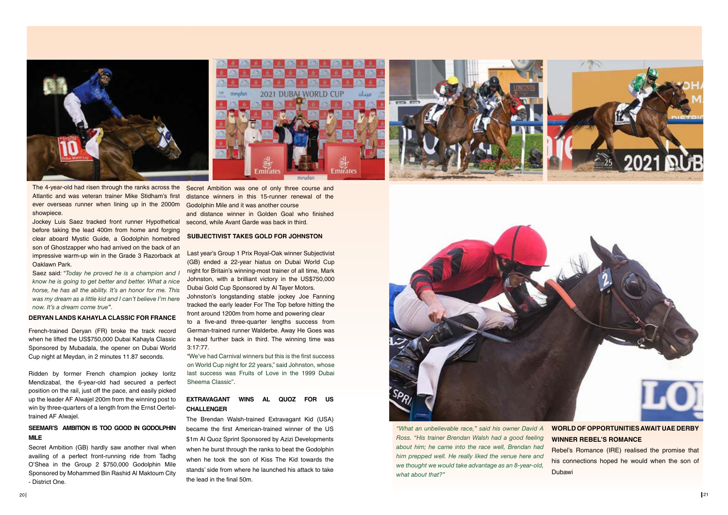

The 4-year-old had risen through the ranks across the Secret Ambition was one of only three course and Atlantic and was veteran trainer Mike Stidham's first ever overseas runner when lining up in the 2000m showpiece.

Jockey Luis Saez tracked front runner Hypothetical before taking the lead 400m from home and forging clear aboard Mystic Guide, a Godolphin homebred son of Ghostzapper who had arrived on the back of an impressive warm-up win in the Grade 3 Razorback at Oaklawn Park.

Saez said: "*Today he proved he is a champion and I know he is going to get better and better. What a nice horse, he has all the ability. It's an honor for me. This was my dream as a little kid and I can't believe I'm here now. It's a dream come true''*.

#### **DERYAN LANDS KAHAYLA CLASSIC FOR FRANCE**

French-trained Deryan (FR) broke the track record when he lifted the US\$750,000 Dubai Kahayla Classic Sponsored by Mubadala, the opener on Dubai World Cup night at Meydan, in 2 minutes 11.87 seconds.

Ridden by former French champion jockey Ioritz Mendizabal, the 6-year-old had secured a perfect position on the rail, just off the pace, and easily picked up the leader AF Alwajel 200m from the winning post to win by three-quarters of a length from the Ernst Oerteltrained AF Alwajel.

## **SEEMAR'S AMBITION IS TOO GOOD IN GODOLPHIN MILE**

Secret Ambition (GB) hardly saw another rival when availing of a perfect front-running ride from Tadhg O'Shea in the Group 2 \$750,000 Godolphin Mile Sponsored by Mohammed Bin Rashid Al Maktoum City - District One.

distance winners in this 15-runner renewal of the Godolphin Mile and it was another course and distance winner in Golden Goal who finished second, while Avant Garde was back in third.

#### **SUBJECTIVIST TAKES GOLD FOR JOHNSTON**

Last year's Group 1 Prix Royal-Oak winner Subjectivist (GB) ended a 22-year hiatus on Dubai World Cup night for Britain's winning-most trainer of all time, Mark Johnston, with a brilliant victory in the US\$750,000 Dubai Gold Cup Sponsored by Al Tayer Motors. Johnston's longstanding stable jockey Joe Fanning tracked the early leader For The Top before hitting the front around 1200m from home and powering clear to a five-and three-quarter lengths success from German-trained runner Walderbe. Away He Goes was

a head further back in third. The winning time was 3:17:77.

"We've had Carnival winners but this is the first success on World Cup night for 22 years," said Johnston, whose last success was Fruits of Love in the 1999 Dubai Sheema Classic''.

### **EXTRAVAGANT WINS AL QUOZ FOR US CHALLENGER**

The Brendan Walsh-trained Extravagant Kid (USA) became the first American-trained winner of the US \$1m Al Quoz Sprint Sponsored by Azizi Developments when he burst through the ranks to beat the Godolphin when he took the son of Kiss The Kid towards the stands' side from where he launched his attack to take the lead in the final 50m.



*"What an unbelievable race," said his owner David A Ross. "His trainer Brendan Walsh had a good feeling about him; he came into the race well, Brendan had him prepped well. He really liked the venue here and we thought we would take advantage as an 8-year-old, what about that?"*





Rebel's Romance (IRE) realised the promise that his connections hoped he would when the son of Dubawi